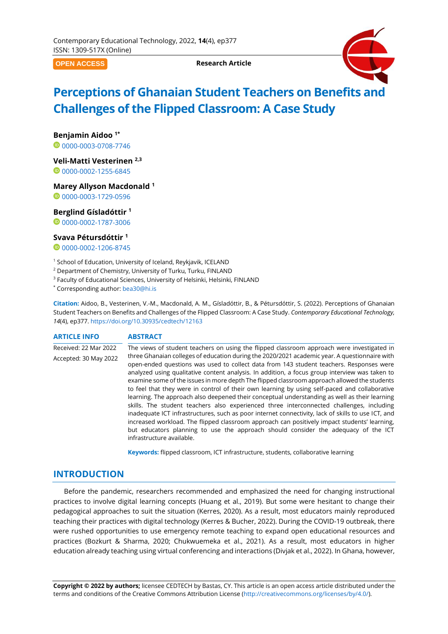**OPEN ACCESS**

**Research Article**



# **Perceptions of Ghanaian Student Teachers on Benefits and Challenges of the Flipped Classroom: A Case Study**

**Benjamin Aidoo 1\***

0[0000-0003-0708-7746](https://orcid.org/0000-0003-0708-7746)

**Veli-Matti Vesterinen 2,3**

0[0000-0002-1255-6845](https://orcid.org/0000-0002-1255-6845)

**Marey Allyson Macdonald <sup>1</sup>**

00000003-1729-0596

**Berglind Gísladóttir <sup>1</sup>**

<sup>0</sup>[0000-0002-1787-3006](https://orcid.org/0000-0002-1787-3006)

# **Svava Pétursdóttir <sup>1</sup>**

0[0000-0002-1206-8745](https://orcid.org/0000-0002-1206-8745)

<sup>1</sup> School of Education, University of Iceland, Reykjavik, ICELAND

- <sup>2</sup> Department of Chemistry, University of Turku, Turku, FINLAND
- <sup>3</sup> Faculty of Educational Sciences, University of Helsinki, Helsinki, FINLAND

\* Corresponding author: [bea30@hi.is](mailto:bea30@hi.is)

**Citation:** Aidoo, B., Vesterinen, V.-M., Macdonald, A. M., Gísladóttir, B., & Pétursdóttir, S. (2022). Perceptions of Ghanaian Student Teachers on Benefits and Challenges of the Flipped Classroom: A Case Study. *Contemporary Educational Technology, 14*(4), ep377. <https://doi.org/10.30935/cedtech/12163>

#### **ARTICLE INFO ABSTRACT** Received: 22 Mar 2022 Accepted: 30 May 2022 The views of student teachers on using the flipped classroom approach were investigated in three Ghanaian colleges of education during the 2020/2021 academic year. A questionnaire with open-ended questions was used to collect data from 143 student teachers. Responses were analyzed using qualitative content analysis. In addition, a focus group interview was taken to examine some of the issues in more depth The flipped classroom approach allowed the students to feel that they were in control of their own learning by using self-paced and collaborative learning. The approach also deepened their conceptual understanding as well as their learning skills. The student teachers also experienced three interconnected challenges, including inadequate ICT infrastructures, such as poor internet connectivity, lack of skills to use ICT, and increased workload. The flipped classroom approach can positively impact students' learning, but educators planning to use the approach should consider the adequacy of the ICT infrastructure available.

**Keywords:** flipped classroom, ICT infrastructure, students, collaborative learning

# **INTRODUCTION**

Before the pandemic, researchers recommended and emphasized the need for changing instructional practices to involve digital learning concepts (Huang et al., 2019). But some were hesitant to change their pedagogical approaches to suit the situation (Kerres, 2020). As a result, most educators mainly reproduced teaching their practices with digital technology (Kerres & Bucher, 2022). During the COVID-19 outbreak, there were rushed opportunities to use emergency remote teaching to expand open educational resources and practices (Bozkurt & Sharma, 2020; Chukwuemeka et al., 2021). As a result, most educators in higher education already teaching using virtual conferencing and interactions (Divjak et al., 2022). In Ghana, however,

**Copyright © 2022 by authors;** licensee CEDTECH by Bastas, CY. This article is an open access article distributed under the terms and conditions of the Creative Commons Attribution License [\(http://creativecommons.org/licenses/by/4.0/\)](http://creativecommons.org/licenses/by/4.0/).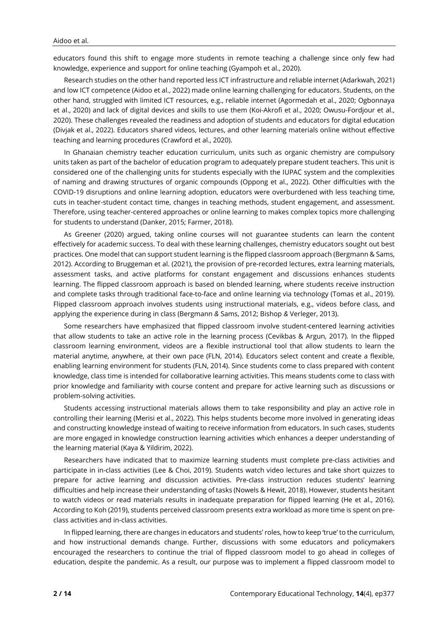educators found this shift to engage more students in remote teaching a challenge since only few had knowledge, experience and support for online teaching (Gyampoh et al., 2020).

Research studies on the other hand reported less ICT infrastructure and reliable internet (Adarkwah, 2021) and low ICT competence (Aidoo et al., 2022) made online learning challenging for educators. Students, on the other hand, struggled with limited ICT resources, e.g., reliable internet (Agormedah et al., 2020; Ogbonnaya et al., 2020) and lack of digital devices and skills to use them (Koi-Akrofi et al., 2020; Owusu-Fordjour et al., 2020). These challenges revealed the readiness and adoption of students and educators for digital education (Divjak et al., 2022). Educators shared videos, lectures, and other learning materials online without effective teaching and learning procedures (Crawford et al., 2020).

In Ghanaian chemistry teacher education curriculum, units such as organic chemistry are compulsory units taken as part of the bachelor of education program to adequately prepare student teachers. This unit is considered one of the challenging units for students especially with the IUPAC system and the complexities of naming and drawing structures of organic compounds (Oppong et al., 2022). Other difficulties with the COVID-19 disruptions and online learning adoption, educators were overburdened with less teaching time, cuts in teacher-student contact time, changes in teaching methods, student engagement, and assessment. Therefore, using teacher-centered approaches or online learning to makes complex topics more challenging for students to understand (Danker, 2015; Farmer, 2018).

As Greener (2020) argued, taking online courses will not guarantee students can learn the content effectively for academic success. To deal with these learning challenges, chemistry educators sought out best practices. One model that can support student learning is the flipped classroom approach (Bergmann & Sams, 2012). According to Bruggeman et al. (2021), the provision of pre-recorded lectures, extra learning materials, assessment tasks, and active platforms for constant engagement and discussions enhances students learning. The flipped classroom approach is based on blended learning, where students receive instruction and complete tasks through traditional face-to-face and online learning via technology (Tomas et al., 2019). Flipped classroom approach involves students using instructional materials, e.g., videos before class, and applying the experience during in class (Bergmann *&* Sams, 2012; Bishop *&* Verleger, 2013).

Some researchers have emphasized that flipped classroom involve student-centered learning activities that allow students to take an active role in the learning process (Cevikbas & Argun, 2017). In the flipped classroom learning environment, videos are a flexible instructional tool that allow students to learn the material anytime, anywhere, at their own pace (FLN, 2014). Educators select content and create a flexible, enabling learning environment for students (FLN, 2014). Since students come to class prepared with content knowledge, class time is intended for collaborative learning activities. This means students come to class with prior knowledge and familiarity with course content and prepare for active learning such as discussions or problem-solving activities.

Students accessing instructional materials allows them to take responsibility and play an active role in controlling their learning (Merisi et al., 2022). This helps students become more involved in generating ideas and constructing knowledge instead of waiting to receive information from educators. In such cases, students are more engaged in knowledge construction learning activities which enhances a deeper understanding of the learning material (Kaya & Yildirim, 2022).

Researchers have indicated that to maximize learning students must complete pre-class activities and participate in in-class activities (Lee & Choi, 2019). Students watch video lectures and take short quizzes to prepare for active learning and discussion activities. Pre-class instruction reduces students' learning difficulties and help increase their understanding of tasks (Nowels & Hewit, 2018). However, students hesitant to watch videos or read materials results in inadequate preparation for flipped learning (He et al., 2016). According to Koh (2019), students perceived classroom presents extra workload as more time is spent on preclass activities and in-class activities.

In flipped learning, there are changes in educators and students' roles, how to keep 'true' to the curriculum, and how instructional demands change. Further, discussions with some educators and policymakers encouraged the researchers to continue the trial of flipped classroom model to go ahead in colleges of education, despite the pandemic. As a result, our purpose was to implement a flipped classroom model to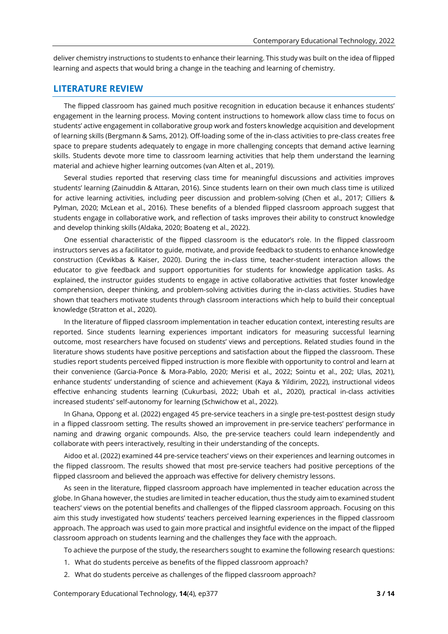deliver chemistry instructions to students to enhance their learning. This study was built on the idea of flipped learning and aspects that would bring a change in the teaching and learning of chemistry.

# **LITERATURE REVIEW**

The flipped classroom has gained much positive recognition in education because it enhances students' engagement in the learning process. Moving content instructions to homework allow class time to focus on students' active engagement in collaborative group work and fosters knowledge acquisition and development of learning skills (Bergmann & Sams, 2012). Off-loading some of the in-class activities to pre-class creates free space to prepare students adequately to engage in more challenging concepts that demand active learning skills. Students devote more time to classroom learning activities that help them understand the learning material and achieve higher learning outcomes (van Alten et al., 2019).

Several studies reported that reserving class time for meaningful discussions and activities improves students' learning (Zainuddin & Attaran, 2016). Since students learn on their own much class time is utilized for active learning activities, including peer discussion and problem-solving (Chen et al., 2017; Cilliers & Pylman, 2020; McLean et al., 2016). These benefits of a blended flipped classroom approach suggest that students engage in collaborative work, and reflection of tasks improves their ability to construct knowledge and develop thinking skills (Aldaka, 2020; Boateng et al., 2022).

One essential characteristic of the flipped classroom is the educator's role. In the flipped classroom instructors serves as a facilitator to guide, motivate, and provide feedback to students to enhance knowledge construction (Cevikbas & Kaiser, 2020). During the in-class time, teacher-student interaction allows the educator to give feedback and support opportunities for students for knowledge application tasks. As explained, the instructor guides students to engage in active collaborative activities that foster knowledge comprehension, deeper thinking, and problem-solving activities during the in-class activities. Studies have shown that teachers motivate students through classroom interactions which help to build their conceptual knowledge (Stratton et al., 2020).

In the literature of flipped classroom implementation in teacher education context, interesting results are reported. Since students learning experiences important indicators for measuring successful learning outcome, most researchers have focused on students' views and perceptions. Related studies found in the literature shows students have positive perceptions and satisfaction about the flipped the classroom. These studies report students perceived flipped instruction is more flexible with opportunity to control and learn at their convenience (Garcia-Ponce & Mora-Pablo, 2020; Merisi et al., 2022; Sointu et al., 202; Ulas, 2021), enhance students' understanding of science and achievement (Kaya & Yildirim, 2022), instructional videos effective enhancing students learning (Cukurbasi, 2022; Ubah et al., 2020), practical in-class activities increased students' self-autonomy for learning (Schwichow et al., 2022).

In Ghana, Oppong et al. (2022) engaged 45 pre-service teachers in a single pre-test-posttest design study in a flipped classroom setting. The results showed an improvement in pre-service teachers' performance in naming and drawing organic compounds. Also, the pre-service teachers could learn independently and collaborate with peers interactively, resulting in their understanding of the concepts.

Aidoo et al. (2022) examined 44 pre-service teachers' views on their experiences and learning outcomes in the flipped classroom. The results showed that most pre-service teachers had positive perceptions of the flipped classroom and believed the approach was effective for delivery chemistry lessons.

As seen in the literature, flipped classroom approach have implemented in teacher education across the globe. In Ghana however, the studies are limited in teacher education, thus the study aim to examined student teachers' views on the potential benefits and challenges of the flipped classroom approach. Focusing on this aim this study investigated how students' teachers perceived learning experiences in the flipped classroom approach. The approach was used to gain more practical and insightful evidence on the impact of the flipped classroom approach on students learning and the challenges they face with the approach.

To achieve the purpose of the study, the researchers sought to examine the following research questions:

- 1. What do students perceive as benefits of the flipped classroom approach?
- 2. What do students perceive as challenges of the flipped classroom approach?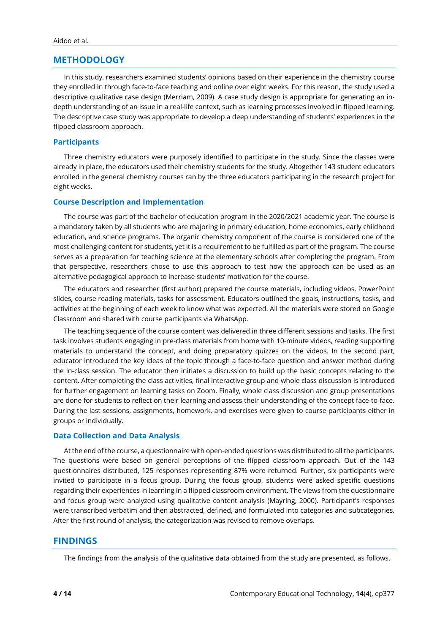# **METHODOLOGY**

In this study, researchers examined students' opinions based on their experience in the chemistry course they enrolled in through face-to-face teaching and online over eight weeks. For this reason, the study used a descriptive qualitative case design (Merriam, 2009). A case study design is appropriate for generating an indepth understanding of an issue in a real-life context, such as learning processes involved in flipped learning. The descriptive case study was appropriate to develop a deep understanding of students' experiences in the flipped classroom approach.

#### **Participants**

Three chemistry educators were purposely identified to participate in the study. Since the classes were already in place, the educators used their chemistry students for the study. Altogether 143 student educators enrolled in the general chemistry courses ran by the three educators participating in the research project for eight weeks.

# **Course Description and Implementation**

The course was part of the bachelor of education program in the 2020/2021 academic year. The course is a mandatory taken by all students who are majoring in primary education, home economics, early childhood education, and science programs. The organic chemistry component of the course is considered one of the most challenging content for students, yet it is a requirement to be fulfilled as part of the program. The course serves as a preparation for teaching science at the elementary schools after completing the program. From that perspective, researchers chose to use this approach to test how the approach can be used as an alternative pedagogical approach to increase students' motivation for the course.

The educators and researcher (first author) prepared the course materials, including videos, PowerPoint slides, course reading materials, tasks for assessment. Educators outlined the goals, instructions, tasks, and activities at the beginning of each week to know what was expected. All the materials were stored on Google Classroom and shared with course participants via WhatsApp.

The teaching sequence of the course content was delivered in three different sessions and tasks. The first task involves students engaging in pre-class materials from home with 10-minute videos, reading supporting materials to understand the concept, and doing preparatory quizzes on the videos. In the second part, educator introduced the key ideas of the topic through a face-to-face question and answer method during the in-class session. The educator then initiates a discussion to build up the basic concepts relating to the content. After completing the class activities, final interactive group and whole class discussion is introduced for further engagement on learning tasks on Zoom. Finally, whole class discussion and group presentations are done for students to reflect on their learning and assess their understanding of the concept face-to-face. During the last sessions, assignments, homework, and exercises were given to course participants either in groups or individually.

#### **Data Collection and Data Analysis**

At the end of the course, a questionnaire with open-ended questions was distributed to all the participants. The questions were based on general perceptions of the flipped classroom approach. Out of the 143 questionnaires distributed, 125 responses representing 87% were returned. Further, six participants were invited to participate in a focus group. During the focus group, students were asked specific questions regarding their experiences in learning in a flipped classroom environment. The views from the questionnaire and focus group were analyzed using qualitative content analysis (Mayring, 2000). Participant's responses were transcribed verbatim and then abstracted, defined, and formulated into categories and subcategories. After the first round of analysis, the categorization was revised to remove overlaps.

### **FINDINGS**

The findings from the analysis of the qualitative data obtained from the study are presented, as follows.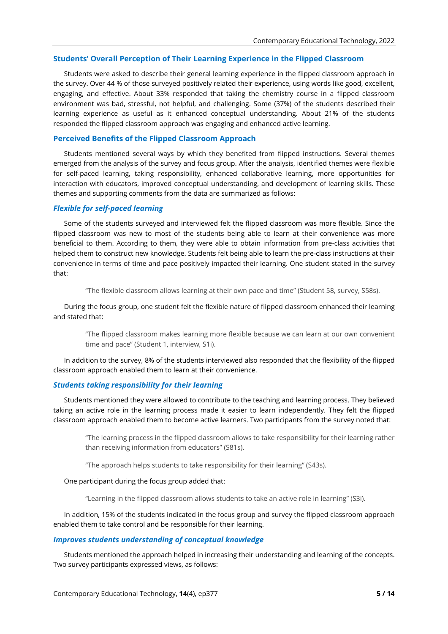#### **Students' Overall Perception of Their Learning Experience in the Flipped Classroom**

Students were asked to describe their general learning experience in the flipped classroom approach in the survey. Over 44 % of those surveyed positively related their experience, using words like good, excellent, engaging, and effective. About 33% responded that taking the chemistry course in a flipped classroom environment was bad, stressful, not helpful, and challenging. Some (37%) of the students described their learning experience as useful as it enhanced conceptual understanding. About 21% of the students responded the flipped classroom approach was engaging and enhanced active learning.

#### **Perceived Benefits of the Flipped Classroom Approach**

Students mentioned several ways by which they benefited from flipped instructions. Several themes emerged from the analysis of the survey and focus group. After the analysis, identified themes were flexible for self-paced learning, taking responsibility, enhanced collaborative learning, more opportunities for interaction with educators, improved conceptual understanding, and development of learning skills. These themes and supporting comments from the data are summarized as follows:

#### *Flexible for self-paced learning*

Some of the students surveyed and interviewed felt the flipped classroom was more flexible. Since the flipped classroom was new to most of the students being able to learn at their convenience was more beneficial to them. According to them, they were able to obtain information from pre-class activities that helped them to construct new knowledge. Students felt being able to learn the pre-class instructions at their convenience in terms of time and pace positively impacted their learning. One student stated in the survey that:

"The flexible classroom allows learning at their own pace and time" (Student 58, survey, S58s).

During the focus group, one student felt the flexible nature of flipped classroom enhanced their learning and stated that:

"The flipped classroom makes learning more flexible because we can learn at our own convenient time and pace" (Student 1, interview, S1i).

In addition to the survey, 8% of the students interviewed also responded that the flexibility of the flipped classroom approach enabled them to learn at their convenience.

#### *Students taking responsibility for their learning*

Students mentioned they were allowed to contribute to the teaching and learning process. They believed taking an active role in the learning process made it easier to learn independently. They felt the flipped classroom approach enabled them to become active learners. Two participants from the survey noted that:

"The learning process in the flipped classroom allows to take responsibility for their learning rather than receiving information from educators" (S81s).

"The approach helps students to take responsibility for their learning" (S43s).

#### One participant during the focus group added that:

"Learning in the flipped classroom allows students to take an active role in learning" (S3i).

In addition, 15% of the students indicated in the focus group and survey the flipped classroom approach enabled them to take control and be responsible for their learning.

#### *Improves students understanding of conceptual knowledge*

Students mentioned the approach helped in increasing their understanding and learning of the concepts. Two survey participants expressed views, as follows: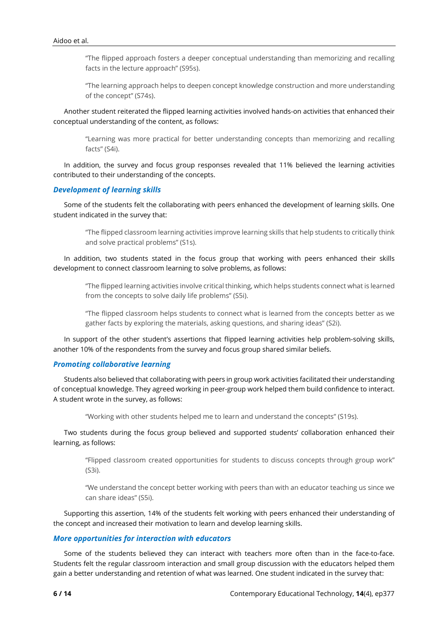"The flipped approach fosters a deeper conceptual understanding than memorizing and recalling facts in the lecture approach" (S95s).

"The learning approach helps to deepen concept knowledge construction and more understanding of the concept" (S74s).

Another student reiterated the flipped learning activities involved hands-on activities that enhanced their conceptual understanding of the content, as follows:

"Learning was more practical for better understanding concepts than memorizing and recalling facts" (S4i).

In addition, the survey and focus group responses revealed that 11% believed the learning activities contributed to their understanding of the concepts.

#### *Development of learning skills*

Some of the students felt the collaborating with peers enhanced the development of learning skills. One student indicated in the survey that:

"The flipped classroom learning activities improve learning skills that help students to critically think and solve practical problems" (S1s).

In addition, two students stated in the focus group that working with peers enhanced their skills development to connect classroom learning to solve problems, as follows:

"The flipped learning activities involve critical thinking, which helps students connect what is learned from the concepts to solve daily life problems" (S5i).

"The flipped classroom helps students to connect what is learned from the concepts better as we gather facts by exploring the materials, asking questions, and sharing ideas" (S2i).

In support of the other student's assertions that flipped learning activities help problem-solving skills, another 10% of the respondents from the survey and focus group shared similar beliefs.

#### *Promoting collaborative learning*

Students also believed that collaborating with peers in group work activities facilitated their understanding of conceptual knowledge. They agreed working in peer-group work helped them build confidence to interact. A student wrote in the survey, as follows:

"Working with other students helped me to learn and understand the concepts" (S19s).

Two students during the focus group believed and supported students' collaboration enhanced their learning, as follows:

"Flipped classroom created opportunities for students to discuss concepts through group work" (S3i).

"We understand the concept better working with peers than with an educator teaching us since we can share ideas" (S5i).

Supporting this assertion, 14% of the students felt working with peers enhanced their understanding of the concept and increased their motivation to learn and develop learning skills.

# *More opportunities for interaction with educators*

Some of the students believed they can interact with teachers more often than in the face-to-face. Students felt the regular classroom interaction and small group discussion with the educators helped them gain a better understanding and retention of what was learned. One student indicated in the survey that: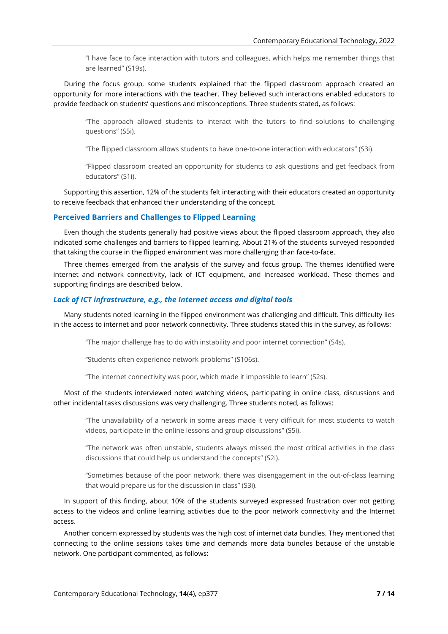"I have face to face interaction with tutors and colleagues, which helps me remember things that are learned" (S19s).

During the focus group, some students explained that the flipped classroom approach created an opportunity for more interactions with the teacher. They believed such interactions enabled educators to provide feedback on students' questions and misconceptions. Three students stated, as follows:

"The approach allowed students to interact with the tutors to find solutions to challenging questions" (S5i).

"The flipped classroom allows students to have one-to-one interaction with educators" (S3i).

"Flipped classroom created an opportunity for students to ask questions and get feedback from educators" (S1i).

Supporting this assertion, 12% of the students felt interacting with their educators created an opportunity to receive feedback that enhanced their understanding of the concept.

# **Perceived Barriers and Challenges to Flipped Learning**

Even though the students generally had positive views about the flipped classroom approach, they also indicated some challenges and barriers to flipped learning. About 21% of the students surveyed responded that taking the course in the flipped environment was more challenging than face-to-face.

Three themes emerged from the analysis of the survey and focus group. The themes identified were internet and network connectivity, lack of ICT equipment, and increased workload. These themes and supporting findings are described below.

# *Lack of ICT infrastructure, e.g., the Internet access and digital tools*

Many students noted learning in the flipped environment was challenging and difficult. This difficulty lies in the access to internet and poor network connectivity. Three students stated this in the survey, as follows:

"The major challenge has to do with instability and poor internet connection" (S4s).

"Students often experience network problems" (S106s).

"The internet connectivity was poor, which made it impossible to learn" (S2s).

Most of the students interviewed noted watching videos, participating in online class, discussions and other incidental tasks discussions was very challenging. Three students noted, as follows:

"The unavailability of a network in some areas made it very difficult for most students to watch videos, participate in the online lessons and group discussions" (S5i).

"The network was often unstable, students always missed the most critical activities in the class discussions that could help us understand the concepts" (S2i).

"Sometimes because of the poor network, there was disengagement in the out-of-class learning that would prepare us for the discussion in class" (S3i).

In support of this finding, about 10% of the students surveyed expressed frustration over not getting access to the videos and online learning activities due to the poor network connectivity and the Internet access.

Another concern expressed by students was the high cost of internet data bundles. They mentioned that connecting to the online sessions takes time and demands more data bundles because of the unstable network. One participant commented, as follows: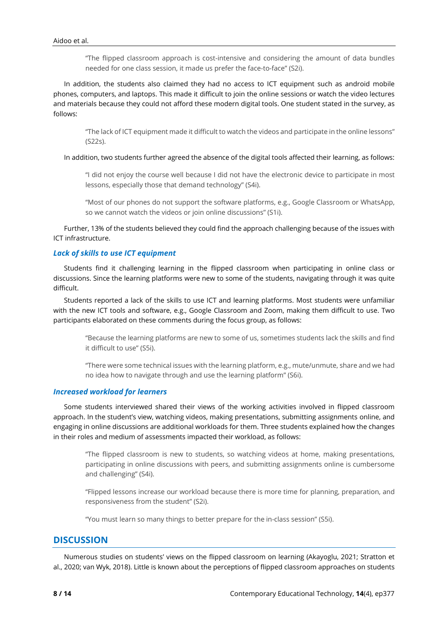"The flipped classroom approach is cost-intensive and considering the amount of data bundles needed for one class session, it made us prefer the face-to-face" (S2i).

In addition, the students also claimed they had no access to ICT equipment such as android mobile phones, computers, and laptops. This made it difficult to join the online sessions or watch the video lectures and materials because they could not afford these modern digital tools. One student stated in the survey, as follows:

"The lack of ICT equipment made it difficult to watch the videos and participate in the online lessons" (S22s).

In addition, two students further agreed the absence of the digital tools affected their learning, as follows:

"I did not enjoy the course well because I did not have the electronic device to participate in most lessons, especially those that demand technology" (S4i).

"Most of our phones do not support the software platforms, e.g., Google Classroom or WhatsApp, so we cannot watch the videos or join online discussions" (S1i).

Further, 13% of the students believed they could find the approach challenging because of the issues with ICT infrastructure.

# *Lack of skills to use ICT equipment*

Students find it challenging learning in the flipped classroom when participating in online class or discussions. Since the learning platforms were new to some of the students, navigating through it was quite difficult.

Students reported a lack of the skills to use ICT and learning platforms. Most students were unfamiliar with the new ICT tools and software, e.g., Google Classroom and Zoom, making them difficult to use. Two participants elaborated on these comments during the focus group, as follows:

"Because the learning platforms are new to some of us, sometimes students lack the skills and find it difficult to use" (S5i).

"There were some technical issues with the learning platform, e.g., mute/unmute, share and we had no idea how to navigate through and use the learning platform" (S6i).

#### *Increased workload for learners*

Some students interviewed shared their views of the working activities involved in flipped classroom approach. In the student's view, watching videos, making presentations, submitting assignments online, and engaging in online discussions are additional workloads for them. Three students explained how the changes in their roles and medium of assessments impacted their workload, as follows:

"The flipped classroom is new to students, so watching videos at home, making presentations, participating in online discussions with peers, and submitting assignments online is cumbersome and challenging" (S4i).

"Flipped lessons increase our workload because there is more time for planning, preparation, and responsiveness from the student" (S2i).

"You must learn so many things to better prepare for the in-class session" (S5i).

# **DISCUSSION**

Numerous studies on students' views on the flipped classroom on learning (Akayoglu, 2021; Stratton et al., 2020; van Wyk, 2018). Little is known about the perceptions of flipped classroom approaches on students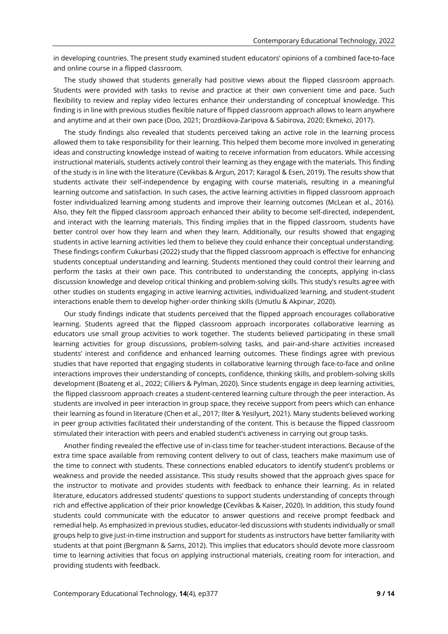in developing countries. The present study examined student educators' opinions of a combined face-to-face and online course in a flipped classroom.

The study showed that students generally had positive views about the flipped classroom approach. Students were provided with tasks to revise and practice at their own convenient time and pace. Such flexibility to review and replay video lectures enhance their understanding of conceptual knowledge. This finding is in line with previous studies flexible nature of flipped classroom approach allows to learn anywhere and anytime and at their own pace (Doo, 2021; Drozdikova-Zaripova & Sabirova, 2020; Ekmekci, 2017).

The study findings also revealed that students perceived taking an active role in the learning process allowed them to take responsibility for their learning. This helped them become more involved in generating ideas and constructing knowledge instead of waiting to receive information from educators. While accessing instructional materials, students actively control their learning as they engage with the materials. This finding of the study is in line with the literature (Cevikbas & Argun, 2017; Karagol & Esen, 2019). The results show that students activate their self-independence by engaging with course materials, resulting in a meaningful learning outcome and satisfaction. In such cases, the active learning activities in flipped classroom approach foster individualized learning among students and improve their learning outcomes (McLean et al., 2016). Also, they felt the flipped classroom approach enhanced their ability to become self-directed, independent, and interact with the learning materials. This finding implies that in the flipped classroom, students have better control over how they learn and when they learn. Additionally, our results showed that engaging students in active learning activities led them to believe they could enhance their conceptual understanding. These findings confirm Cukurbasi (2022) study that the flipped classroom approach is effective for enhancing students conceptual understanding and learning. Students mentioned they could control their learning and perform the tasks at their own pace. This contributed to understanding the concepts, applying in-class discussion knowledge and develop critical thinking and problem-solving skills. This study's results agree with other studies on students engaging in active learning activities, individualized learning, and student-student interactions enable them to develop higher-order thinking skills (Umutlu & Akpinar, 2020).

Our study findings indicate that students perceived that the flipped approach encourages collaborative learning. Students agreed that the flipped classroom approach incorporates collaborative learning as educators use small group activities to work together. The students believed participating in these small learning activities for group discussions, problem-solving tasks, and pair-and-share activities increased students' interest and confidence and enhanced learning outcomes. These findings agree with previous studies that have reported that engaging students in collaborative learning through face-to-face and online interactions improves their understanding of concepts, confidence, thinking skills, and problem-solving skills development (Boateng et al., 2022; Cilliers & Pylman, 2020). Since students engage in deep learning activities, the flipped classroom approach creates a student-centered learning culture through the peer interaction. As students are involved in peer interaction in group space, they receive support from peers which can enhance their learning as found in literature (Chen et al., 2017; Ilter & Yesilyurt, 2021). Many students believed working in peer group activities facilitated their understanding of the content. This is because the flipped classroom stimulated their interaction with peers and enabled student's activeness in carrying out group tasks.

Another finding revealed the effective use of in-class time for teacher-student interactions. Because of the extra time space available from removing content delivery to out of class, teachers make maximum use of the time to connect with students. These connections enabled educators to identify student's problems or weakness and provide the needed assistance. This study results showed that the approach gives space for the instructor to motivate and provides students with feedback to enhance their learning. As in related literature, educators addressed students' questions to support students understanding of concepts through rich and effective application of their prior knowledge **(**Cevikbas & Kaiser, 2020). In addition, this study found students could communicate with the educator to answer questions and receive prompt feedback and remedial help. As emphasized in previous studies, educator-led discussions with students individually or small groups help to give just-in-time instruction and support for students as instructors have better familiarity with students at that point (Bergmann & Sams, 2012). This implies that educators should devote more classroom time to learning activities that focus on applying instructional materials, creating room for interaction, and providing students with feedback.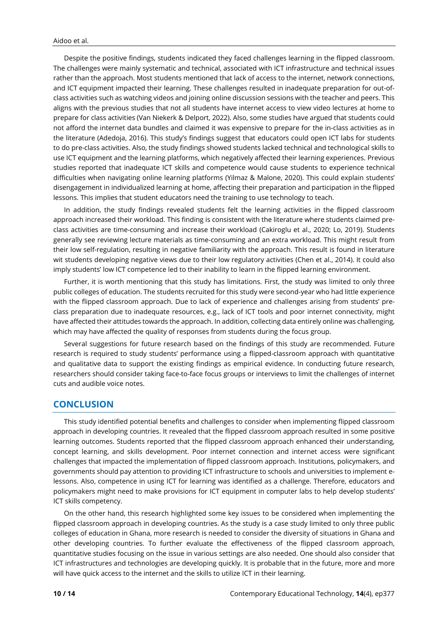Despite the positive findings, students indicated they faced challenges learning in the flipped classroom. The challenges were mainly systematic and technical, associated with ICT infrastructure and technical issues rather than the approach. Most students mentioned that lack of access to the internet, network connections, and ICT equipment impacted their learning. These challenges resulted in inadequate preparation for out-ofclass activities such as watching videos and joining online discussion sessions with the teacher and peers. This aligns with the previous studies that not all students have internet access to view video lectures at home to prepare for class activities (Van Niekerk & Delport, 2022). Also, some studies have argued that students could not afford the internet data bundles and claimed it was expensive to prepare for the in-class activities as in the literature (Adedoja, 2016). This study's findings suggest that educators could open ICT labs for students to do pre-class activities. Also, the study findings showed students lacked technical and technological skills to use ICT equipment and the learning platforms, which negatively affected their learning experiences. Previous studies reported that inadequate ICT skills and competence would cause students to experience technical difficulties when navigating online learning platforms (Yilmaz & Malone, 2020). This could explain students' disengagement in individualized learning at home, affecting their preparation and participation in the flipped lessons. This implies that student educators need the training to use technology to teach.

In addition, the study findings revealed students felt the learning activities in the flipped classroom approach increased their workload. This finding is consistent with the literature where students claimed preclass activities are time-consuming and increase their workload (Cakiroglu et al., 2020; Lo, 2019). Students generally see reviewing lecture materials as time-consuming and an extra workload. This might result from their low self-regulation, resulting in negative familiarity with the approach. This result is found in literature wit students developing negative views due to their low regulatory activities (Chen et al., 2014). It could also imply students' low ICT competence led to their inability to learn in the flipped learning environment.

Further, it is worth mentioning that this study has limitations. First, the study was limited to only three public colleges of education. The students recruited for this study were second-year who had little experience with the flipped classroom approach. Due to lack of experience and challenges arising from students' preclass preparation due to inadequate resources, e.g., lack of ICT tools and poor internet connectivity, might have affected their attitudes towards the approach. In addition, collecting data entirely online was challenging, which may have affected the quality of responses from students during the focus group.

Several suggestions for future research based on the findings of this study are recommended. Future research is required to study students' performance using a flipped-classroom approach with quantitative and qualitative data to support the existing findings as empirical evidence. In conducting future research, researchers should consider taking face-to-face focus groups or interviews to limit the challenges of internet cuts and audible voice notes.

# **CONCLUSION**

This study identified potential benefits and challenges to consider when implementing flipped classroom approach in developing countries. It revealed that the flipped classroom approach resulted in some positive learning outcomes. Students reported that the flipped classroom approach enhanced their understanding, concept learning, and skills development. Poor internet connection and internet access were significant challenges that impacted the implementation of flipped classroom approach. Institutions, policymakers, and governments should pay attention to providing ICT infrastructure to schools and universities to implement elessons. Also, competence in using ICT for learning was identified as a challenge. Therefore, educators and policymakers might need to make provisions for ICT equipment in computer labs to help develop students' ICT skills competency.

On the other hand, this research highlighted some key issues to be considered when implementing the flipped classroom approach in developing countries. As the study is a case study limited to only three public colleges of education in Ghana, more research is needed to consider the diversity of situations in Ghana and other developing countries. To further evaluate the effectiveness of the flipped classroom approach, quantitative studies focusing on the issue in various settings are also needed. One should also consider that ICT infrastructures and technologies are developing quickly. It is probable that in the future, more and more will have quick access to the internet and the skills to utilize ICT in their learning.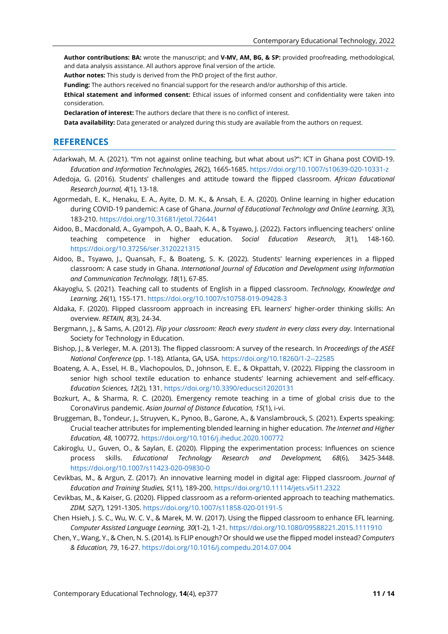**Author contributions: BA:** wrote the manuscript; and **V-MV, AM, BG, & SP:** provided proofreading, methodological, and data analysis assistance. All authors approve final version of the article.

**Author notes:** This study is derived from the PhD project of the first author.

**Funding:** The authors received no financial support for the research and/or authorship of this article.

**Ethical statement and informed consent:** Ethical issues of informed consent and confidentiality were taken into consideration.

**Declaration of interest:** The authors declare that there is no conflict of interest.

**Data availability:** Data generated or analyzed during this study are available from the authors on request.

# **REFERENCES**

- Adarkwah, M. A. (2021). "I'm not against online teaching, but what about us?": ICT in Ghana post COVID-19. *Education and Information Technologies, 26*(2), 1665-1685. <https://doi.org/10.1007/s10639-020-10331-z>
- Adedoja, G. (2016). Students' challenges and attitude toward the flipped classroom. *African Educational Research Journal, 4*(1), 13-18.
- Agormedah, E. K., Henaku, E. A., Ayite, D. M. K., & Ansah, E. A. (2020). Online learning in higher education during COVID-19 pandemic: A case of Ghana. *Journal of Educational Technology and Online Learning, 3*(3), 183-210. <https://doi.org/10.31681/jetol.726441>
- Aidoo, B., Macdonald, A., Gyampoh, A. O., Baah, K. A., & Tsyawo, J. (2022). Factors influencing teachers' online teaching competence in higher education. *Social Education Research*, *3*(1), 148-160. <https://doi.org/10.37256/ser.3120221315>
- Aidoo, B., Tsyawo, J., Quansah, F., & Boateng, S. K. (2022). Students' learning experiences in a flipped classroom: A case study in Ghana. *International Journal of Education and Development using Information and Communication Technology, 18*(1), 67-85.
- Akayoglu, S. (2021). Teaching call to students of English in a flipped classroom. *Technology, Knowledge and Learning, 26*(1), 155-171. <https://doi.org/10.1007/s10758-019-09428-3>
- Aldaka, F. (2020). Flipped classroom approach in increasing EFL learners' higher-order thinking skills: An overview. *RETAIN, 8*(3), 24-34.
- Bergmann, J., & Sams, A. (2012). *Flip your classroom: Reach every student in every class every day*. International Society for Technology in Education.
- Bishop, J., & Verleger, M. A. (2013). The flipped classroom: A survey of the research. In *Proceedings of the ASEE National Conference* (pp. 1-18). Atlanta, GA, USA. <https://doi.org/10.18260/1-2--22585>
- Boateng, A. A., Essel, H. B., Vlachopoulos, D., Johnson, E. E., & Okpattah, V. (2022). Flipping the classroom in senior high school textile education to enhance students' learning achievement and self-efficacy. *Education Sciences, 12*(2), 131. <https://doi.org/10.3390/educsci12020131>
- Bozkurt, A., & Sharma, R. C. (2020). Emergency remote teaching in a time of global crisis due to the CoronaVirus pandemic. *Asian Journal of Distance Education, 15*(1), i-vi.
- Bruggeman, B., Tondeur, J., Struyven, K., Pynoo, B., Garone, A., & Vanslambrouck, S. (2021). Experts speaking: Crucial teacher attributes for implementing blended learning in higher education. *The Internet and Higher Education, 48*, 100772. <https://doi.org/10.1016/j.iheduc.2020.100772>
- Cakiroglu, U., Guven, O., & Saylan, E. (2020). Flipping the experimentation process: Influences on science process skills. *Educational Technology Research and Development, 68*(6), 3425-3448. <https://doi.org/10.1007/s11423-020-09830-0>
- Cevikbas, M., & Argun, Z. (2017). An innovative learning model in digital age: Flipped classroom. *Journal of Education and Training Studies, 5*(11), 189-200. <https://doi.org/10.11114/jets.v5i11.2322>
- Cevikbas, M., & Kaiser, G. (2020). Flipped classroom as a reform-oriented approach to teaching mathematics. *ZDM, 52*(7), 1291-1305. <https://doi.org/10.1007/s11858-020-01191-5>
- Chen Hsieh, J. S. C., Wu, W. C. V., & Marek, M. W. (2017). Using the flipped classroom to enhance EFL learning. *Computer Assisted Language Learning, 30*(1-2), 1-21.<https://doi.org/10.1080/09588221.2015.1111910>
- Chen, Y., Wang, Y., & Chen, N. S. (2014). Is FLIP enough? Or should we use the flipped model instead? *Computers & Education, 79*, 16-27. <https://doi.org/10.1016/j.compedu.2014.07.004>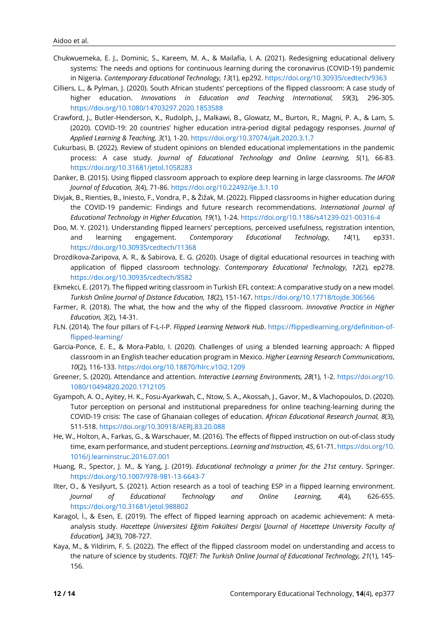- Chukwuemeka, E. J., Dominic, S., Kareem, M. A., & Mailafia, I. A. (2021). Redesigning educational delivery systems: The needs and options for continuous learning during the coronavirus (COVID-19) pandemic in Nigeria. *Contemporary Educational Technology, 13*(1), ep292. <https://doi.org/10.30935/cedtech/9363>
- Cilliers, L., & Pylman, J. (2020). South African students' perceptions of the flipped classroom: A case study of higher education. *Innovations in Education and Teaching International, 59*(3), 296-305. <https://doi.org/10.1080/14703297.2020.1853588>
- Crawford, J., Butler-Henderson, K., Rudolph, J., Malkawi, B., Glowatz, M., Burton, R., Magni, P. A., & Lam, S. (2020). COVID-19: 20 countries' higher education intra-period digital pedagogy responses. *Journal of Applied Learning & Teaching, 3*(1), 1-20. <https://doi.org/10.37074/jalt.2020.3.1.7>
- Cukurbasi, B. (2022). Review of student opinions on blended educational implementations in the pandemic process: A case study. *Journal of Educational Technology and Online Learning, 5*(1), 66-83. <https://doi.org/10.31681/jetol.1058283>
- Danker, B. (2015). Using flipped classroom approach to explore deep learning in large classrooms. *The IAFOR Journal of Education, 3*(4), 71-86. <https://doi.org/10.22492/ije.3.1.10>
- Divjak, B., Rienties, B., Iniesto, F., Vondra, P., & Žižak, M. (2022). Flipped classrooms in higher education during the COVID-19 pandemic: Findings and future research recommendations. *International Journal of Educational Technology in Higher Education, 19*(1), 1-24. <https://doi.org/10.1186/s41239-021-00316-4>
- Doo, M. Y. (2021). Understanding flipped learners' perceptions, perceived usefulness, registration intention, and learning engagement. *Contemporary Educational Technology, 14*(1), ep331. <https://doi.org/10.30935/cedtech/11368>
- Drozdikova-Zaripova, A. R., & Sabirova, E. G. (2020). Usage of digital educational resources in teaching with application of flipped classroom technology. *Contemporary Educational Technology, 12*(2), ep278. <https://doi.org/10.30935/cedtech/8582>
- Ekmekci, E. (2017). The flipped writing classroom in Turkish EFL context: A comparative study on a new model. *Turkish Online Journal of Distance Education, 18*(2), 151-167. <https://doi.org/10.17718/tojde.306566>
- Farmer, R. (2018). The what, the how and the why of the flipped classroom. *Innovative Practice in Higher Education, 3*(2), 14-31.
- FLN. (2014). The four pillars of F-L-I-P. *Flipped Learning Network Hub*. [https://flippedlearning.org/definition-of](http://flippedlearning.org/definition-of-flipped-learning/)[flipped-learning/](http://flippedlearning.org/definition-of-flipped-learning/)
- Garcia-Ponce, E. E., & Mora-Pablo, I. (2020). Challenges of using a blended learning approach: A flipped classroom in an English teacher education program in Mexico. *Higher Learning Research Communications*, *10*(2), 116-133. <https://doi.org/10.18870/hlrc.v10i2.1209>
- Greener, S. (2020). Attendance and attention. *Interactive Learning Environments, 28*(1), 1-2. [https://doi.org/10.](https://doi.org/10.1080/10494820.2020.1712105) [1080/10494820.2020.1712105](https://doi.org/10.1080/10494820.2020.1712105)
- Gyampoh, A. O., Ayitey, H. K., Fosu-Ayarkwah, C., Ntow, S. A., Akossah, J., Gavor, M., & Vlachopoulos, D. (2020). Tutor perception on personal and institutional preparedness for online teaching-learning during the COVID-19 crisis: The case of Ghanaian colleges of education. *African Educational Research Journal, 8*(3), 511-518. <https://doi.org/10.30918/AERJ.83.20.088>
- He, W., Holton, A., Farkas, G., & Warschauer, M. (2016). The effects of flipped instruction on out-of-class study time, exam performance, and student perceptions. *Learning and Instruction, 45*, 61-71. [https://doi.org/10.](https://doi.org/10.1016/j.learninstruc.2016.07.001) [1016/j.learninstruc.2016.07.001](https://doi.org/10.1016/j.learninstruc.2016.07.001)
- Huang, R., Spector, J. M., & Yang, J. (2019). *Educational technology a primer for the 21st century*. Springer. <https://doi.org/10.1007/978-981-13-6643-7>
- Ilter, O., & Yesilyurt, S. (2021). Action research as a tool of teaching ESP in a flipped learning environment. *Journal of Educational Technology and Online Learning, 4*(4), 626-655. <https://doi.org/10.31681/jetol.988802>
- Karagol, İ., & Esen, E. (2019). The effect of flipped learning approach on academic achievement: A metaanalysis study. *Hacettepe Üniversitesi Eğitim Fakültesi Dergisi* [*Journal of Hacettepe University Faculty of Education*]*, 34*(3), 708-727.
- Kaya, M., & Yildirim, F. S. (2022). The effect of the flipped classroom model on understanding and access to the nature of science by students. *TOJET: The Turkish Online Journal of Educational Technology, 21*(1), 145- 156.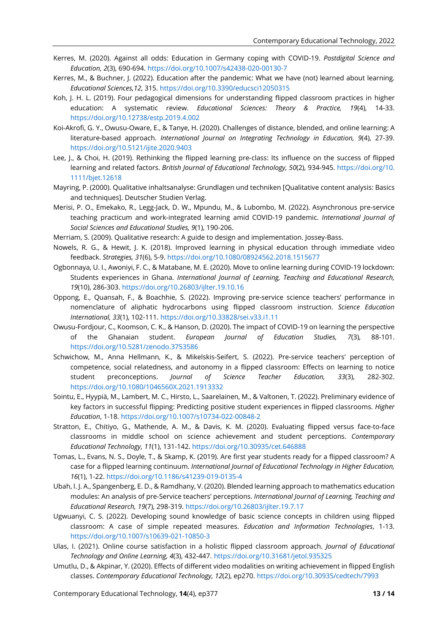- Kerres, M. (2020). Against all odds: Education in Germany coping with COVID-19. *Postdigital Science and Education, 2*(3), 690-694. <https://doi.org/10.1007/s42438-020-00130-7>
- Kerres, M., & Buchner, J. (2022). Education after the pandemic: What we have (not) learned about learning. *Educational Sciences,12*, 315. <https://doi.org/10.3390/educsci12050315>
- Koh, J. H. L. (2019). Four pedagogical dimensions for understanding flipped classroom practices in higher education: A systematic review. *Educational Sciences: Theory & Practice, 19*(4), 14-33. <https://doi.org/10.12738/estp.2019.4.002>
- Koi-Akrofi, G. Y., Owusu-Oware, E., & Tanye, H. (2020). Challenges of distance, blended, and online learning: A literature-based approach. *International Journal on Integrating Technology in Education, 9*(4), 27-39. <https://doi.org/10.5121/ijite.2020.9403>
- Lee, J., & Choi, H. (2019). Rethinking the flipped learning pre-class: Its influence on the success of flipped learning and related factors. *British Journal of Educational Technology, 50*(2), 934-945. [https://doi.org/10.](https://doi.org/10.1111/bjet.12618) [1111/bjet.12618](https://doi.org/10.1111/bjet.12618)
- Mayring, P. (2000). Qualitative inhaltsanalyse: Grundlagen und techniken [Qualitative content analysis: Basics and techniques]. Deutscher Studien Verlag.
- Merisi, P. O., Emekako, R., Legg-Jack, D. W., Mpundu, M., & Lubombo, M. (2022). Asynchronous pre-service teaching practicum and work-integrated learning amid COVID-19 pandemic. *International Journal of Social Sciences and Educational Studies, 9*(1), 190-206.
- Merriam, S. (2009). Qualitative research: A guide to design and implementation. Jossey-Bass.
- Nowels, R. G., & Hewit, J. K. (2018). Improved learning in physical education through immediate video feedback. *Strategies, 31*(6), 5-9. <https://doi.org/10.1080/08924562.2018.1515677>
- Ogbonnaya, U. I., Awoniyi, F. C., & Matabane, M. E. (2020). Move to online learning during COVID-19 lockdown: Students experiences in Ghana. *International Journal of Learning, Teaching and Educational Research, 19*(10), 286-303. <https://doi.org/10.26803/ijlter.19.10.16>
- Oppong, E., Quansah, F., & Boachhie, S. (2022). Improving pre-service science teachers' performance in nomenclature of aliphatic hydrocarbons using flipped classroom instruction. *Science Education International, 33*(1), 102-111. <https://doi.org/10.33828/sei.v33.i1.11>
- Owusu-Fordjour, C., Koomson, C. K., & Hanson, D. (2020). The impact of COVID-19 on learning the perspective of the Ghanaian student. *European Journal of Education Studies, 7*(3), 88-101. <https://doi.org/10.5281/zenodo.3753586>
- Schwichow, M., Anna Hellmann, K., & Mikelskis-Seifert, S. (2022). Pre-service teachers' perception of competence, social relatedness, and autonomy in a flipped classroom: Effects on learning to notice student preconceptions. *Journal of Science Teacher Education, 33*(3), 282-302. <https://doi.org/10.1080/1046560X.2021.1913332>
- Sointu, E., Hyypiä, M., Lambert, M. C., Hirsto, L., Saarelainen, M., & Valtonen, T. (2022). Preliminary evidence of key factors in successful flipping: Predicting positive student experiences in flipped classrooms. *Higher Education*, 1-18. <https://doi.org/10.1007/s10734-022-00848-2>
- Stratton, E., Chitiyo, G., Mathende, A. M., & Davis, K. M. (2020). Evaluating flipped versus face-to-face classrooms in middle school on science achievement and student perceptions. *Contemporary Educational Technology, 11*(1), 131-142. <https://doi.org/10.30935/cet.646888>
- Tomas, L., Evans, N. S., Doyle, T., & Skamp, K. (2019). Are first year students ready for a flipped classroom? A case for a flipped learning continuum. *International Journal of Educational Technology in Higher Education, 16*(1), 1-22. <https://doi.org/10.1186/s41239-019-0135-4>
- Ubah, I. J. A., Spangenberg, E. D., & Ramdhany, V. (2020). Blended learning approach to mathematics education modules: An analysis of pre-Service teachers' perceptions. *International Journal of Learning, Teaching and Educational Research, 19*(7), 298-319. <https://doi.org/10.26803/ijlter.19.7.17>
- Ugwuanyi, C. S. (2022). Developing sound knowledge of basic science concepts in children using flipped classroom: A case of simple repeated measures. *Education and Information Technologies*, 1-13. <https://doi.org/10.1007/s10639-021-10850-3>
- Ulas, I. (2021). Online course satisfaction in a holistic flipped classroom approach. *Journal of Educational Technology and Online Learning, 4*(3), 432-447. <https://doi.org/10.31681/jetol.935325>
- Umutlu, D., & Akpinar, Y. (2020). Effects of different video modalities on writing achievement in flipped English classes. *Contemporary Educational Technology, 12*(2), ep270. <https://doi.org/10.30935/cedtech/7993>